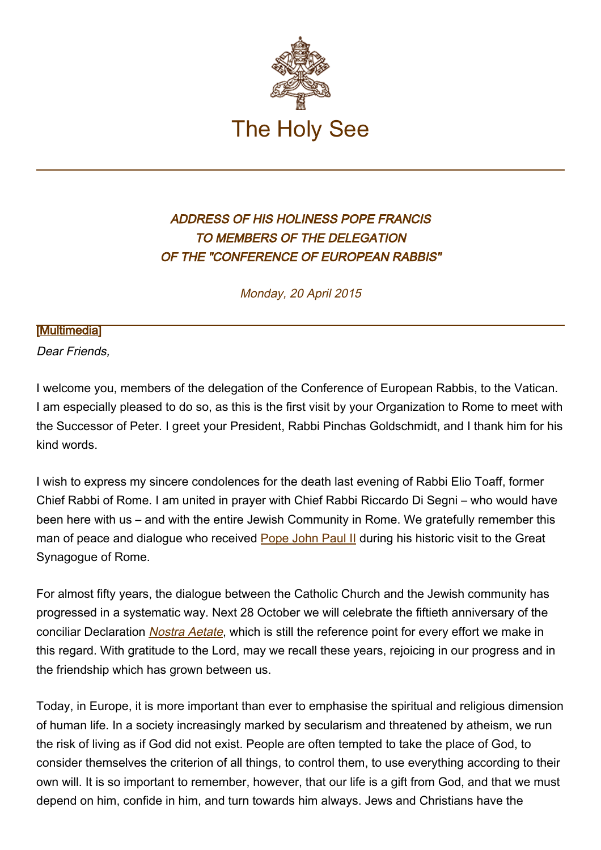

## ADDRESS OF HIS HOLINESS POPE FRANCIS TO MEMBERS OF THE DELEGATION OF THE "CONFERENCE OF EUROPEAN RABBIS"

Monday, 20 April 2015

## [\[Multimedia](http://w2.vatican.va/content/francesco/en/events/event.dir.html/content/vaticanevents/en/2015/4/20/cer.html)]

Dear Friends,

I welcome you, members of the delegation of the Conference of European Rabbis, to the Vatican. I am especially pleased to do so, as this is the first visit by your Organization to Rome to meet with the Successor of Peter. I greet your President, Rabbi Pinchas Goldschmidt, and I thank him for his kind words.

I wish to express my sincere condolences for the death last evening of Rabbi Elio Toaff, former Chief Rabbi of Rome. I am united in prayer with Chief Rabbi Riccardo Di Segni – who would have been here with us – and with the entire Jewish Community in Rome. We gratefully remember this man of peace and dialogue who received [Pope John Paul II](http://w2.vatican.va/content/john-paul-ii/en.html) during his historic visit to the Great Synagogue of Rome.

For almost fifty years, the dialogue between the Catholic Church and the Jewish community has progressed in a systematic way. Next 28 October we will celebrate the fiftieth anniversary of the conciliar Declaration *[Nostra Aetate](http://www.vatican.va/archive/hist_councils/ii_vatican_council/documents/vat-ii_decl_19651028_nostra-aetate_en.html)*, which is still the reference point for every effort we make in this regard. With gratitude to the Lord, may we recall these years, rejoicing in our progress and in the friendship which has grown between us.

Today, in Europe, it is more important than ever to emphasise the spiritual and religious dimension of human life. In a society increasingly marked by secularism and threatened by atheism, we run the risk of living as if God did not exist. People are often tempted to take the place of God, to consider themselves the criterion of all things, to control them, to use everything according to their own will. It is so important to remember, however, that our life is a gift from God, and that we must depend on him, confide in him, and turn towards him always. Jews and Christians have the